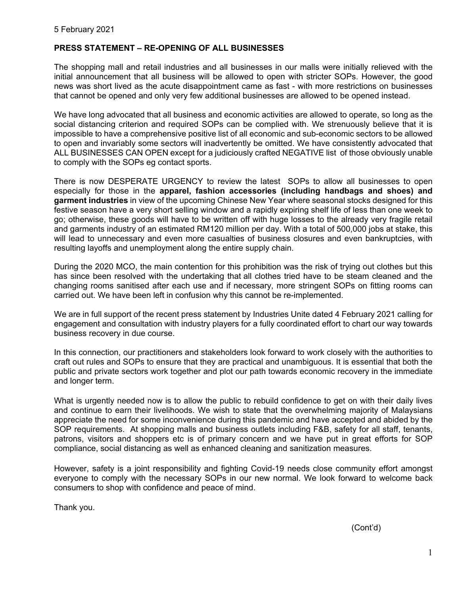## **PRESS STATEMENT – RE-OPENING OF ALL BUSINESSES**

The shopping mall and retail industries and all businesses in our malls were initially relieved with the initial announcement that all business will be allowed to open with stricter SOPs. However, the good news was short lived as the acute disappointment came as fast - with more restrictions on businesses that cannot be opened and only very few additional businesses are allowed to be opened instead.

We have long advocated that all business and economic activities are allowed to operate, so long as the social distancing criterion and required SOPs can be complied with. We strenuously believe that it is impossible to have a comprehensive positive list of all economic and sub-economic sectors to be allowed to open and invariably some sectors will inadvertently be omitted. We have consistently advocated that ALL BUSINESSES CAN OPEN except for a judiciously crafted NEGATIVE list of those obviously unable to comply with the SOPs eg contact sports.

There is now DESPERATE URGENCY to review the latest SOPs to allow all businesses to open especially for those in the **apparel, fashion accessories (including handbags and shoes) and garment industries** in view of the upcoming Chinese New Year where seasonal stocks designed for this festive season have a very short selling window and a rapidly expiring shelf life of less than one week to go; otherwise, these goods will have to be written off with huge losses to the already very fragile retail and garments industry of an estimated RM120 million per day. With a total of 500,000 jobs at stake, this will lead to unnecessary and even more casualties of business closures and even bankruptcies, with resulting layoffs and unemployment along the entire supply chain.

During the 2020 MCO, the main contention for this prohibition was the risk of trying out clothes but this has since been resolved with the undertaking that all clothes tried have to be steam cleaned and the changing rooms sanitised after each use and if necessary, more stringent SOPs on fitting rooms can carried out. We have been left in confusion why this cannot be re-implemented.

We are in full support of the recent press statement by Industries Unite dated 4 February 2021 calling for engagement and consultation with industry players for a fully coordinated effort to chart our way towards business recovery in due course.

In this connection, our practitioners and stakeholders look forward to work closely with the authorities to craft out rules and SOPs to ensure that they are practical and unambiguous. It is essential that both the public and private sectors work together and plot our path towards economic recovery in the immediate and longer term.

What is urgently needed now is to allow the public to rebuild confidence to get on with their daily lives and continue to earn their livelihoods. We wish to state that the overwhelming majority of Malaysians appreciate the need for some inconvenience during this pandemic and have accepted and abided by the SOP requirements. At shopping malls and business outlets including F&B, safety for all staff, tenants, patrons, visitors and shoppers etc is of primary concern and we have put in great efforts for SOP compliance, social distancing as well as enhanced cleaning and sanitization measures.

However, safety is a joint responsibility and fighting Covid-19 needs close community effort amongst everyone to comply with the necessary SOPs in our new normal. We look forward to welcome back consumers to shop with confidence and peace of mind.

Thank you.

(Cont'd)